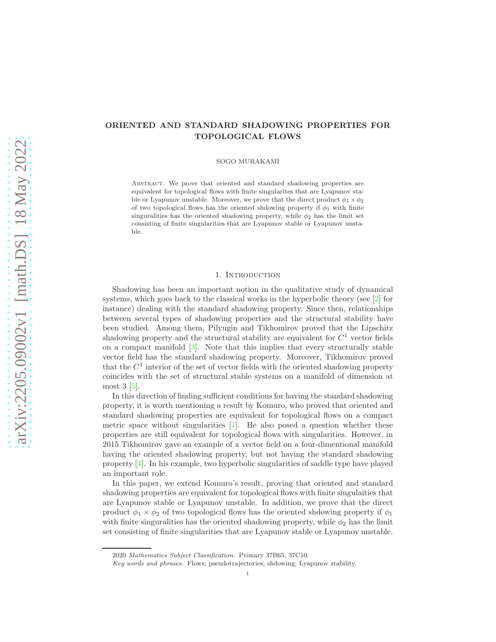# ORIENTED AND STANDARD SHADOWING PROPERTIES FOR TOPOLOGICAL FLOWS

SOGO MURAKAMI

Abstract. We prove that oriented and standard shadowing properties are equivalent for topological flows with finite singularites that are Lyapunov stable or Lyapunov unstable. Moreover, we prove that the direct product  $\phi_1 \times \phi_2$ of two topological flows has the oriented shdowing property if  $\phi_1$  with finite singuralities has the oriented shadowing property, while  $\phi_2$  has the limit set consisting of finite singularities that are Lyapunov stable or Lyapunov unstable.

#### 1. INTRODUCTION

Shadowing has been an important notion in the qualitative study of dynamical systems, which goes back to the classical works in the hyperbolic theory (see [2] for instance) dealing with the standard shadowing property. Since then, relationships between several types of shadowing properties and the structural stability have been studied. Among them, Pilyugin and Tikhomirov proved that the Lipschitz shadowing property and the structural stability are equivalent for  $C<sup>1</sup>$  vector fields on a compact manifold [3]. Note that this implies that every structurally stable vector field has the standard shadowing property. Moreover, Tikhomirov proved that the  $C<sup>1</sup>$  interior of the set of vector fields with the oriented shadowing property coincides with the set of structural stable systems on a manifold of dimension at most  $3\,[5]$ .

In this direction of finding sufficient conditions for having the standard shadowing property, it is worth mentioning a result by Komuro, who proved that oriented and standard shadowing properties are equivalent for topological flows on a compact metric space without singularities  $[1]$ . He also posed a question whether these properties are still equivalent for topological flows with singularities. However, in 2015 Tikhomirov gave an example of a vector field on a four-dimentional manifold having the oriented shadowing property, but not having the standard shadowing property  $[4]$ . In his example, two hyperbolic singularities of saddle type have played an important role.

In this paper, we extend Komuro's result, proving that oriented and standard shadowing properties are equivalent for topological flows with finite singulaities that are Lyapunov stable or Lyapunov unstable. In addition, we prove that the direct product  $\phi_1 \times \phi_2$  of two topological flows has the oriented shdowing property if  $\phi_1$ with finite singuralities has the oriented shadowing property, while  $\phi_2$  has the limit set consisting of finite singularities that are Lyapunov stable or Lyapunov unstable.

<sup>2020</sup> Mathematics Subject Classification. Primary 37B65, 37C10.

Key words and phrases. Flows; pseudotrajectories; shdowing; Lyapunov stability.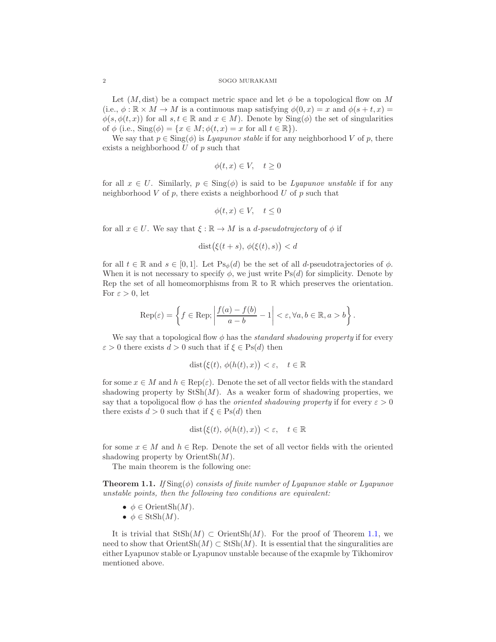#### 2 SOGO MURAKAMI

Let  $(M, \text{dist})$  be a compact metric space and let  $\phi$  be a topological flow on M (i.e.,  $\phi : \mathbb{R} \times M \to M$  is a continuous map satisfying  $\phi(0, x) = x$  and  $\phi(s + t, x) =$  $\phi(s, \phi(t, x))$  for all  $s, t \in \mathbb{R}$  and  $x \in M$ ). Denote by  $\text{Sing}(\phi)$  the set of singularities of  $\phi$  (i.e.,  $\text{Sing}(\phi) = \{x \in M; \phi(t, x) = x \text{ for all } t \in \mathbb{R}\}.$ 

We say that  $p \in \text{Sing}(\phi)$  is *Lyapunov stable* if for any neighborhood V of p, there exists a neighborhood  $U$  of  $p$  such that

$$
\phi(t, x) \in V, \quad t \ge 0
$$

for all  $x \in U$ . Similarly,  $p \in Sing(\phi)$  is said to be *Lyapunov unstable* if for any neighborhood  $V$  of  $p$ , there exists a neighborhood  $U$  of  $p$  such that

$$
\phi(t, x) \in V, \quad t \le 0
$$

for all  $x \in U$ . We say that  $\xi : \mathbb{R} \to M$  is a *d-pseudotrajectory* of  $\phi$  if

$$
dist(\xi(t+s), \phi(\xi(t), s)) < d
$$

for all  $t \in \mathbb{R}$  and  $s \in [0,1]$ . Let  $\text{Ps}_{\phi}(d)$  be the set of all *d*-pseudotrajectories of  $\phi$ . When it is not necessary to specify  $\phi$ , we just write Ps(d) for simplicity. Denote by Rep the set of all homeomorphisms from  $\mathbb R$  to  $\mathbb R$  which preserves the orientation. For  $\varepsilon > 0$ , let

$$
\operatorname{Rep}(\varepsilon) = \left\{ f \in \operatorname{Rep}; \left| \frac{f(a) - f(b)}{a - b} - 1 \right| < \varepsilon, \forall a, b \in \mathbb{R}, a > b \right\}.
$$

We say that a topological flow  $\phi$  has the *standard shadowing property* if for every  $\varepsilon > 0$  there exists  $d > 0$  such that if  $\xi \in Ps(d)$  then

$$
\text{dist}(\xi(t), \phi(h(t), x)) < \varepsilon, \quad t \in \mathbb{R}
$$

for some  $x \in M$  and  $h \in \text{Rep}(\varepsilon)$ . Denote the set of all vector fields with the standard shadowing property by  $StSh(M)$ . As a weaker form of shadowing properties, we say that a topoligocal flow  $\phi$  has the *oriented shadowing property* if for every  $\varepsilon > 0$ there exists  $d > 0$  such that if  $\xi \in Ps(d)$  then

$$
\text{dist}(\xi(t), \phi(h(t), x)) < \varepsilon, \quad t \in \mathbb{R}
$$

for some  $x \in M$  and  $h \in \text{Rep}$ . Denote the set of all vector fields with the oriented shadowing property by  $OrientSh(M)$ .

The main theorem is the following one:

**Theorem 1.1.** *If*  $\text{Sing}(\phi)$  *consists of finite number of Lyapunov stable or Lyapunov unstable points, then the following two conditions are equivalent:*

- $\phi \in \text{OrientSh}(M)$ .
- $\bullet \phi \in \text{StSh}(M)$ .

It is trivial that  $StSh(M) \subset OrientSh(M)$ . For the proof of Theorem 1.1, we need to show that  $OrientSh(M) \subset StSh(M)$ . It is essential that the singuralities are either Lyapunov stable or Lyapunov unstable because of the exapmle by Tikhomirov mentioned above.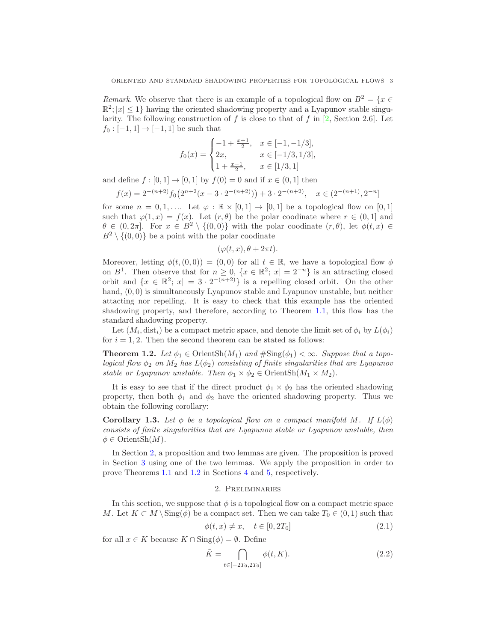*Remark.* We observe that there is an example of a topological flow on  $B^2 = \{x \in$  $\mathbb{R}^2$ ;  $|x| \leq 1$  having the oriented shadowing property and a Lyapunov stable singularity. The following construction of  $f$  is close to that of  $f$  in [2, Section 2.6]. Let  $f_0 : [-1, 1] \to [-1, 1]$  be such that

$$
f_0(x) = \begin{cases} -1 + \frac{x+1}{2}, & x \in [-1, -1/3], \\ 2x, & x \in [-1/3, 1/3], \\ 1 + \frac{x-1}{2}, & x \in [1/3, 1] \end{cases}
$$

and define  $f : [0, 1] \rightarrow [0, 1]$  by  $f(0) = 0$  and if  $x \in (0, 1]$  then

$$
f(x) = 2^{-(n+2)} f_0(2^{n+2}(x-3 \cdot 2^{-(n+2)})) + 3 \cdot 2^{-(n+2)}, \quad x \in (2^{-(n+1)}, 2^{-n}]
$$

for some  $n = 0, 1, \ldots$  Let  $\varphi : \mathbb{R} \times [0, 1] \to [0, 1]$  be a topological flow on  $[0, 1]$ such that  $\varphi(1,x) = f(x)$ . Let  $(r, \theta)$  be the polar coodinate where  $r \in (0,1]$  and  $\theta \in (0, 2\pi]$ . For  $x \in B^2 \setminus \{(0, 0)\}\$  with the polar coodinate  $(r, \theta)$ , let  $\phi(t, x) \in$  $B^2 \setminus \{(0,0)\}\$ be a point with the polar coodinate

$$
(\varphi(t,x), \theta + 2\pi t).
$$

Moreover, letting  $\phi(t,(0,0)) = (0,0)$  for all  $t \in \mathbb{R}$ , we have a topological flow  $\phi$ on  $B^1$ . Then observe that for  $n \geq 0$ ,  $\{x \in \mathbb{R}^2; |x| = 2^{-n}\}$  is an attracting closed orbit and  $\{x \in \mathbb{R}^2; |x| = 3 \cdot 2^{-(n+2)}\}$  is a repelling closed orbit. On the other hand,  $(0,0)$  is simultaneously Lyapunov stable and Lyapunov unstable, but neither attacting nor repelling. It is easy to check that this example has the oriented shadowing property, and therefore, according to Theorem 1.1, this flow has the standard shadowing property.

Let  $(M_i, dist_i)$  be a compact metric space, and denote the limit set of  $\phi_i$  by  $L(\phi_i)$ for  $i = 1, 2$ . Then the second theorem can be stated as follows:

**Theorem 1.2.** Let  $\phi_1 \in \text{OrientSh}(M_1)$  and  $\#\text{Sing}(\phi_1) < \infty$ . Suppose that a topo*logical flow*  $\phi_2$  *on*  $M_2$  *has*  $L(\phi_2)$  *consisting of finite singularities that are Lyapunov stable or Lyapunov unstable. Then*  $\phi_1 \times \phi_2 \in \text{OrientSh}(M_1 \times M_2)$ *.* 

It is easy to see that if the direct product  $\phi_1 \times \phi_2$  has the oriented shadowing property, then both  $\phi_1$  and  $\phi_2$  have the oriented shadowing property. Thus we obtain the following corollary:

**Corollary 1.3.** Let  $\phi$  be a topological flow on a compact manifold M. If  $L(\phi)$ *consists of finite singularities that are Lyapunov stable or Lyapunov unstable, then*  $\phi \in \text{OrientSh}(M)$ .

In Section 2, a proposition and two lemmas are given. The proposition is proved in Section 3 using one of the two lemmas. We apply the proposition in order to prove Theorems 1.1 and 1.2 in Sections 4 and 5, respectively.

### 2. Preliminaries

In this section, we suppose that  $\phi$  is a topological flow on a compact metric space M. Let  $K \subset M \setminus \text{Sing}(\phi)$  be a compact set. Then we can take  $T_0 \in (0,1)$  such that

$$
\phi(t, x) \neq x, \quad t \in [0, 2T_0] \tag{2.1}
$$

for all  $x \in K$  because  $K \cap \text{Sing}(\phi) = \emptyset$ . Define

$$
\tilde{K} = \bigcap_{t \in [-2T_0, 2T_0]} \phi(t, K). \tag{2.2}
$$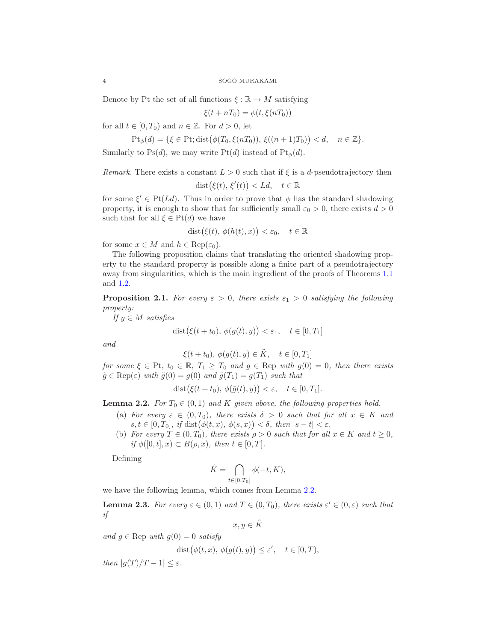Denote by Pt the set of all functions  $\xi : \mathbb{R} \to M$  satisfying

$$
\xi(t + nT_0) = \phi(t, \xi(nT_0))
$$

for all  $t \in [0, T_0)$  and  $n \in \mathbb{Z}$ . For  $d > 0$ , let

$$
\mathrm{Pt}_{\phi}(d) = \{ \xi \in \mathrm{Pt}; \mathrm{dist}(\phi(T_0, \xi(nT_0)), \xi((n+1)T_0)) < d, \quad n \in \mathbb{Z} \}.
$$

Similarly to Ps(d), we may write Pt(d) instead of Pt<sub> $\phi$ </sub>(d).

*Remark.* There exists a constant  $L > 0$  such that if  $\xi$  is a d-pseudotrajectory then

$$
dist(\xi(t), \xi'(t)) < Ld, \quad t \in \mathbb{R}
$$

for some  $\xi' \in Pt(Ld)$ . Thus in order to prove that  $\phi$  has the standard shadowing property, it is enough to show that for sufficiently small  $\varepsilon_0 > 0$ , there exists  $d > 0$ such that for all  $\xi \in \mathrm{Pt}(d)$  we have

$$
dist(\xi(t), \phi(h(t), x)) < \varepsilon_0, \quad t \in \mathbb{R}
$$

for some  $x \in M$  and  $h \in \text{Rep}(\varepsilon_0)$ .

The following proposition claims that translating the oriented shadowing property to the standard property is possible along a finite part of a pseudotrajectory away from singularities, which is the main ingredient of the proofs of Theorems 1.1 and 1.2.

**Proposition 2.1.** For every  $\varepsilon > 0$ , there exists  $\varepsilon_1 > 0$  satisfying the following *property:*

*If* y ∈ M *satisfies*

$$
dist(\xi(t+t_0), \phi(g(t), y)) < \varepsilon_1, \quad t \in [0, T_1]
$$

*and*

 $\xi(t + t_0), \phi(g(t), y) \in \tilde{K}, \quad t \in [0, T_1]$ 

*for some*  $\xi \in Pt$ ,  $t_0 \in \mathbb{R}$ ,  $T_1 \geq T_0$  *and*  $g \in Rep$  *with*  $g(0) = 0$ *, then there exists*  $\tilde{g} \in \text{Rep}(\varepsilon)$  with  $\tilde{g}(0) = g(0)$  and  $\tilde{g}(T_1) = g(T_1)$  such that

$$
dist(\xi(t+t_0), \phi(\tilde{g}(t), y)) < \varepsilon, \quad t \in [0, T_1].
$$

**Lemma 2.2.** *For*  $T_0 \in (0,1)$  *and K given above, the following properties hold.* 

- (a) *For every*  $\varepsilon \in (0, T_0)$ *, there exists*  $\delta > 0$  *such that for all*  $x \in K$  *and*  $s, t \in [0, T_0], \text{ if } \text{dist}(\phi(t, x), \phi(s, x)) < \delta, \text{ then } |s - t| < \varepsilon.$
- (b) *For every*  $T \in (0, T_0)$ *, there exists*  $\rho > 0$  *such that for all*  $x \in K$  *and*  $t \ge 0$ *, if*  $\phi([0, t], x) \subset B(\rho, x)$ *, then*  $t \in [0, T]$ *.*

Defining

$$
\hat{K} = \bigcap_{t \in [0, T_0]} \phi(-t, K),
$$

we have the following lemma, which comes from Lemma 2.2.

**Lemma 2.3.** For every  $\varepsilon \in (0,1)$  and  $T \in (0,T_0)$ , there exists  $\varepsilon' \in (0,\varepsilon)$  such that *if*

 $x, y \in \hat{K}$ 

*and*  $g \in \text{Rep with } g(0) = 0$  *satisfy* 

$$
\text{dist}(\phi(t, x), \, \phi(g(t), y)) \le \varepsilon', \quad t \in [0, T),
$$

*then*  $|g(T)/T - 1| \leq \varepsilon$ .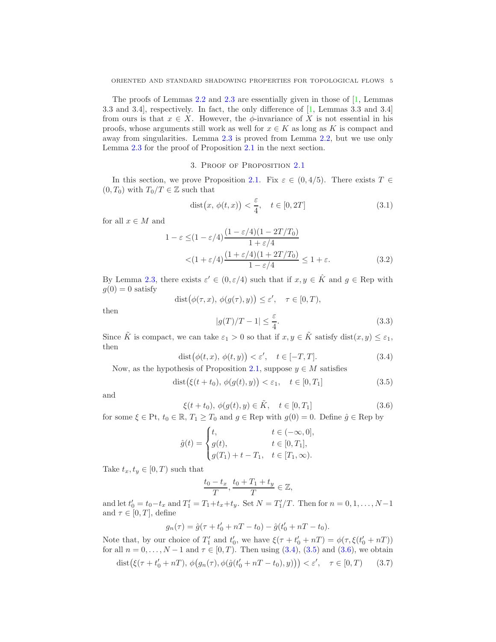The proofs of Lemmas  $2.2$  and  $2.3$  are essentially given in those of  $[1,$  Lemmas 3.3 and 3.4], respectively. In fact, the only difference of [1, Lemmas 3.3 and 3.4] from ours is that  $x \in X$ . However, the  $\phi$ -invariance of X is not essential in his proofs, whose arguments still work as well for  $x \in K$  as long as K is compact and away from singularities. Lemma 2.3 is proved from Lemma 2.2, but we use only Lemma 2.3 for the proof of Proposition 2.1 in the next section.

# 3. Proof of Proposition 2.1

In this section, we prove Proposition 2.1. Fix  $\varepsilon \in (0, 4/5)$ . There exists  $T \in$  $(0, T_0)$  with  $T_0/T \in \mathbb{Z}$  such that

$$
dist(x, \phi(t, x)) < \frac{\varepsilon}{4}, \quad t \in [0, 2T] \tag{3.1}
$$

for all  $x \in M$  and

$$
1 - \varepsilon \le (1 - \varepsilon/4) \frac{(1 - \varepsilon/4)(1 - 2T/T_0)}{1 + \varepsilon/4}
$$
  
< 
$$
< (1 + \varepsilon/4) \frac{(1 + \varepsilon/4)(1 + 2T/T_0)}{1 - \varepsilon/4} \le 1 + \varepsilon.
$$
 (3.2)

By Lemma 2.3, there exists  $\varepsilon' \in (0, \varepsilon/4)$  such that if  $x, y \in \hat{K}$  and  $g \in \text{Rep with}$  $g(0) = 0$  satisfy

$$
\text{dist}(\phi(\tau, x), \, \phi(g(\tau), y)) \le \varepsilon', \quad \tau \in [0, T),
$$

then

$$
|g(T)/T - 1| \le \frac{\varepsilon}{4}.\tag{3.3}
$$

Since  $\tilde{K}$  is compact, we can take  $\varepsilon_1 > 0$  so that if  $x, y \in \tilde{K}$  satisfy  $dist(x, y) \leq \varepsilon_1$ , then

$$
dist(\phi(t, x), \phi(t, y)) < \varepsilon', \quad t \in [-T, T]. \tag{3.4}
$$

Now, as the hypothesis of Proposition 2.1, suppose  $y \in M$  satisfies

$$
dist(\xi(t+t_0), \phi(g(t), y)) < \varepsilon_1, \quad t \in [0, T_1]
$$
\n(3.5)

and

$$
\xi(t+t_0), \, \phi(g(t),y) \in \tilde{K}, \quad t \in [0,T_1]
$$
\n(3.6)

for some  $\xi \in \text{Pt}$ ,  $t_0 \in \mathbb{R}$ ,  $T_1 \geq T_0$  and  $g \in \text{Rep with } g(0) = 0$ . Define  $\hat{g} \in \text{Rep by}$ 

$$
\hat{g}(t) = \begin{cases} t, & t \in (-\infty, 0], \\ g(t), & t \in [0, T_1], \\ g(T_1) + t - T_1, & t \in [T_1, \infty). \end{cases}
$$

Take  $t_x, t_y \in [0, T)$  such that

$$
\frac{t_0 - t_x}{T}, \frac{t_0 + T_1 + t_y}{T} \in \mathbb{Z},
$$

and let  $t'_0 = t_0 - t_x$  and  $T'_1 = T_1 + t_x + t_y$ . Set  $N = T'_1/T$ . Then for  $n = 0, 1, ..., N-1$ and  $\tau \in [0, T]$ , define

$$
g_n(\tau) = \hat{g}(\tau + t'_0 + nT - t_0) - \hat{g}(t'_0 + nT - t_0).
$$

Note that, by our choice of  $T'_1$  and  $t'_0$ , we have  $\xi(\tau + t'_0 + nT) = \phi(\tau, \xi(t'_0 + nT))$ for all  $n = 0, ..., N - 1$  and  $\tau \in [0, T)$ . Then using  $(3.4), (3.5)$  and  $(3.6)$ , we obtain

$$
dist(\xi(\tau + t'_0 + nT), \phi(g_n(\tau), \phi(\hat{g}(t'_0 + nT - t_0), y))) < \varepsilon', \quad \tau \in [0, T)
$$
 (3.7)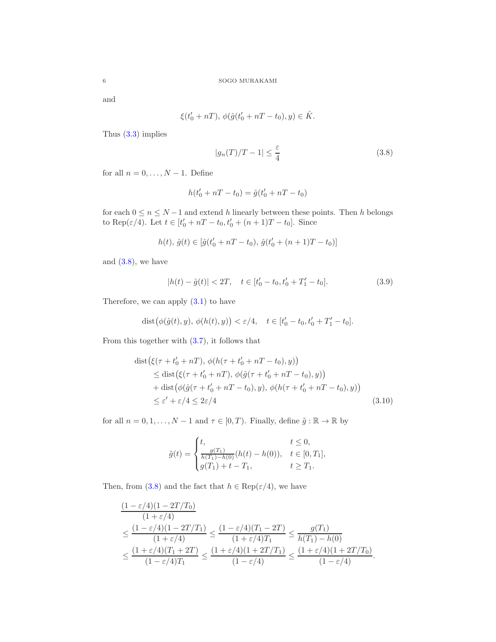and

$$
\xi(t'_0+nT),\,\phi(\hat g(t'_0+nT-t_0),y)\in\hat K.
$$

Thus (3.3) implies

$$
|g_n(T)/T - 1| \le \frac{\varepsilon}{4}
$$
\n(3.8)

for all  $n = 0, \ldots, N - 1$ . Define

$$
h(t'_0 + nT - t_0) = \hat{g}(t'_0 + nT - t_0)
$$

for each  $0 \le n \le N-1$  and extend h linearly between these points. Then h belongs to Rep( $\varepsilon/4$ ). Let  $t \in [t'_0 + nT - t_0, t'_0 + (n+1)T - t_0]$ . Since

$$
h(t),\,\hat{g}(t)\in [\hat{g}(t_0'+nT-t_0),\,\hat{g}(t_0'+(n+1)T-t_0)]
$$

and  $(3.8)$ , we have

$$
|h(t) - \hat{g}(t)| < 2T, \quad t \in [t_0' - t_0, t_0' + T_1' - t_0]. \tag{3.9}
$$

Therefore, we can apply  $(3.1)$  to have

$$
dist(\phi(\hat{g}(t), y), \phi(h(t), y)) < \varepsilon/4, \quad t \in [t'_0 - t_0, t'_0 + T'_1 - t_0].
$$

From this together with (3.7), it follows that

$$
dist(\xi(\tau + t'_0 + nT), \phi(h(\tau + t'_0 + nT - t_0), y))
$$
  
\n
$$
\leq dist(\xi(\tau + t'_0 + nT), \phi(\hat{g}(\tau + t'_0 + nT - t_0), y))
$$
  
\n
$$
+ dist(\phi(\hat{g}(\tau + t'_0 + nT - t_0), y), \phi(h(\tau + t'_0 + nT - t_0), y))
$$
  
\n
$$
\leq \varepsilon' + \varepsilon/4 \leq 2\varepsilon/4
$$
\n(3.10)

for all  $n = 0, 1, \ldots, N - 1$  and  $\tau \in [0, T)$ . Finally, define  $\tilde{g} : \mathbb{R} \to \mathbb{R}$  by

$$
\tilde{g}(t) = \begin{cases} t, & t \leq 0, \\ \frac{g(T_1)}{h(T_1) - h(0)} (h(t) - h(0)), & t \in [0, T_1], \\ g(T_1) + t - T_1, & t \geq T_1. \end{cases}
$$

Then, from (3.8) and the fact that  $h \in \text{Rep}(\varepsilon/4)$ , we have

$$
\frac{(1-\varepsilon/4)(1-2T/T_0)}{(1+\varepsilon/4)}
$$
\n
$$
\leq \frac{(1-\varepsilon/4)(1-2T/T_1)}{(1+\varepsilon/4)} \leq \frac{(1-\varepsilon/4)(T_1-2T)}{(1+\varepsilon/4)T_1} \leq \frac{g(T_1)}{h(T_1)-h(0)}
$$
\n
$$
\leq \frac{(1+\varepsilon/4)(T_1+2T)}{(1-\varepsilon/4)T_1} \leq \frac{(1+\varepsilon/4)(1+2T/T_1)}{(1-\varepsilon/4)} \leq \frac{(1+\varepsilon/4)(1+2T/T_0)}{(1-\varepsilon/4)}.
$$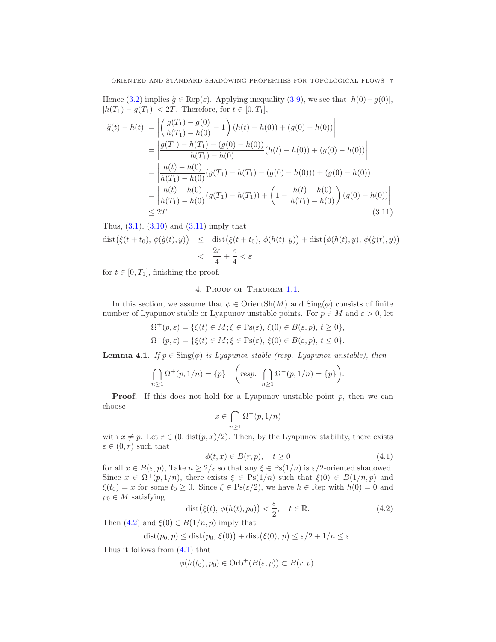Hence (3.2) implies  $\tilde{g} \in \text{Rep}(\varepsilon)$ . Applying inequality (3.9), we see that  $|h(0)-g(0)|$ ,  $|h(T_1) - g(T_1)| < 2T$ . Therefore, for  $t \in [0, T_1]$ ,

$$
|\tilde{g}(t) - h(t)| = \left| \left( \frac{g(T_1) - g(0)}{h(T_1) - h(0)} - 1 \right) (h(t) - h(0)) + (g(0) - h(0)) \right|
$$
  
\n
$$
= \left| \frac{g(T_1) - h(T_1) - (g(0) - h(0))}{h(T_1) - h(0)} (h(t) - h(0)) + (g(0) - h(0)) \right|
$$
  
\n
$$
= \left| \frac{h(t) - h(0)}{h(T_1) - h(0)} (g(T_1) - h(T_1) - (g(0) - h(0))) + (g(0) - h(0)) \right|
$$
  
\n
$$
= \left| \frac{h(t) - h(0)}{h(T_1) - h(0)} (g(T_1) - h(T_1)) + \left( 1 - \frac{h(t) - h(0)}{h(T_1) - h(0)} \right) (g(0) - h(0)) \right|
$$
  
\n
$$
\leq 2T.
$$
 (3.11)

Thus,  $(3.1)$ ,  $(3.10)$  and  $(3.11)$  imply that

$$
\begin{array}{rcl}\n\text{dist}\big(\xi(t+t_0), \, \phi(\tilde{g}(t), y)\big) & \leq & \text{dist}\big(\xi(t+t_0), \, \phi(h(t), y)\big) + \text{dist}\big(\phi(h(t), y), \, \phi(\tilde{g}(t), y)\big) \\
& < & \frac{2\varepsilon}{4} + \frac{\varepsilon}{4} < \varepsilon\n\end{array}
$$

for  $t \in [0, T_1]$ , finishing the proof.

# 4. Proof of Theorem 1.1.

In this section, we assume that  $\phi \in \text{OrientSh}(M)$  and  $\text{Sing}(\phi)$  consists of finite number of Lyapunov stable or Lyapunov unstable points. For  $p \in M$  and  $\varepsilon > 0$ , let

$$
\Omega^+(p,\varepsilon) = \{ \xi(t) \in M; \xi \in \text{Ps}(\varepsilon), \, \xi(0) \in B(\varepsilon, p), \, t \ge 0 \},
$$
  

$$
\Omega^-(p,\varepsilon) = \{ \xi(t) \in M; \xi \in \text{Ps}(\varepsilon), \, \xi(0) \in B(\varepsilon, p), \, t \le 0 \}.
$$

**Lemma 4.1.** *If*  $p \in \text{Sing}(\phi)$  *is Lyapunov stable (resp. Lyapunov unstable), then* 

$$
\bigcap_{n\geq 1} \Omega^+(p,1/n) = \{p\} \quad \bigg(\text{resp. } \bigcap_{n\geq 1} \Omega^-(p,1/n) = \{p\}\bigg).
$$

**Proof.** If this does not hold for a Lyapunov unstable point  $p$ , then we can choose

$$
x \in \bigcap_{n \ge 1} \Omega^+(p, 1/n)
$$

with  $x \neq p$ . Let  $r \in (0, \text{dist}(p, x)/2)$ . Then, by the Lyapunov stability, there exists  $\varepsilon \in (0, r)$  such that

$$
\phi(t, x) \in B(r, p), \quad t \ge 0 \tag{4.1}
$$

for all  $x \in B(\varepsilon, p)$ , Take  $n \geq 2/\varepsilon$  so that any  $\xi \in \text{Ps}(1/n)$  is  $\varepsilon/2$ -oriented shadowed. Since  $x \in \Omega^+(p,1/n)$ , there exists  $\xi \in Ps(1/n)$  such that  $\xi(0) \in B(1/n,p)$  and  $\xi(t_0) = x$  for some  $t_0 \geq 0$ . Since  $\xi \in \text{Ps}(\varepsilon/2)$ , we have  $h \in \text{Rep with } h(0) = 0$  and  $p_0 \in M$  satisfying

$$
\text{dist}\big(\xi(t), \,\phi(h(t), p_0)\big) < \frac{\varepsilon}{2}, \quad t \in \mathbb{R}.\tag{4.2}
$$

Then  $(4.2)$  and  $\xi(0) \in B(1/n, p)$  imply that

$$
dist(p_0, p) \leq dist(p_0, \xi(0)) + dist(\xi(0), p) \leq \varepsilon/2 + 1/n \leq \varepsilon.
$$

Thus it follows from (4.1) that

$$
\phi(h(t_0), p_0) \in \mathrm{Orb}^+(B(\varepsilon, p)) \subset B(r, p).
$$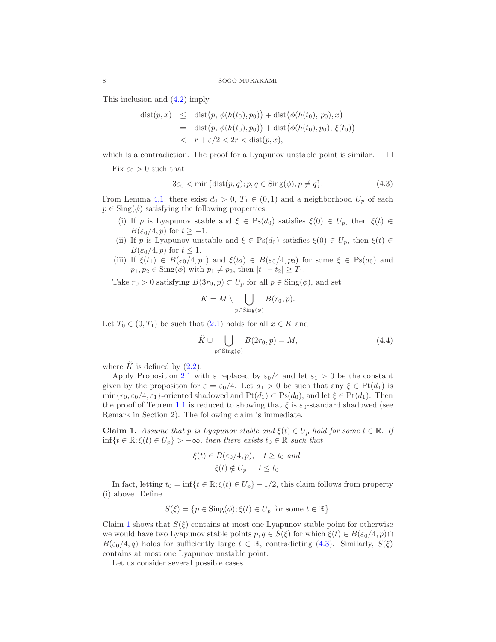This inclusion and (4.2) imply

$$
dist(p, x) \leq dist(p, \phi(h(t_0), p_0)) + dist(\phi(h(t_0), p_0), x)
$$
  
= dist(p, \phi(h(t\_0), p\_0)) + dist(\phi(h(t\_0), p\_0), \xi(t\_0))  
<  $r + \varepsilon/2 < 2r < dist(p, x),$ 

which is a contradiction. The proof for a Lyapunov unstable point is similar.  $\Box$ 

Fix  $\varepsilon_0 > 0$  such that

$$
3\varepsilon_0 < \min\{\text{dist}(p, q); p, q \in \text{Sing}(\phi), p \neq q\}.\tag{4.3}
$$

From Lemma 4.1, there exist  $d_0 > 0$ ,  $T_1 \in (0,1)$  and a neighborhood  $U_p$  of each  $p \in Sing(\phi)$  satisfying the following properties:

- (i) If p is Lyapunov stable and  $\xi \in Ps(d_0)$  satisfies  $\xi(0) \in U_p$ , then  $\xi(t) \in$  $B(\varepsilon_0/4, p)$  for  $t \ge -1$ .
- (ii) If p is Lyapunov unstable and  $\xi \in Ps(d_0)$  satisfies  $\xi(0) \in U_p$ , then  $\xi(t) \in$  $B(\varepsilon_0/4, p)$  for  $t \leq 1$ .
- (iii) If  $\xi(t_1) \in B(\varepsilon_0/4, p_1)$  and  $\xi(t_2) \in B(\varepsilon_0/4, p_2)$  for some  $\xi \in \text{Ps}(d_0)$  and  $p_1, p_2 \in \text{Sing}(\phi)$  with  $p_1 \neq p_2$ , then  $|t_1 - t_2| \geq T_1$ .

Take  $r_0 > 0$  satisfying  $B(3r_0, p) \subset U_p$  for all  $p \in Sing(\phi)$ , and set

$$
K = M \setminus \bigcup_{p \in \text{Sing}(\phi)} B(r_0, p).
$$

Let  $T_0 \in (0, T_1)$  be such that  $(2.1)$  holds for all  $x \in K$  and

$$
\tilde{K} \cup \bigcup_{p \in \text{Sing}(\phi)} B(2r_0, p) = M,\tag{4.4}
$$

where  $\tilde{K}$  is defined by (2.2).

Apply Proposition 2.1 with  $\varepsilon$  replaced by  $\varepsilon_0/4$  and let  $\varepsilon_1 > 0$  be the constant given by the propositon for  $\varepsilon = \varepsilon_0/4$ . Let  $d_1 > 0$  be such that any  $\xi \in Pt(d_1)$  is  $\min\{r_0, \varepsilon_0/4, \varepsilon_1\}$ -oriented shadowed and  $Pt(d_1) \subset Ps(d_0)$ , and let  $\xi \in Pt(d_1)$ . Then the proof of Teorem 1.1 is reduced to showing that  $\xi$  is  $\varepsilon_0$ -standard shadowed (see Remark in Section 2). The following claim is immediate.

**Claim 1.** *Assume that* p *is Lyapunov stable and*  $\xi(t) \in U_p$  *hold for some*  $t \in \mathbb{R}$ *. If* inf{ $t \in \mathbb{R}; \xi(t) \in U_p$ } > −∞*, then there exists*  $t_0 \in \mathbb{R}$  *such that* 

$$
\xi(t) \in B(\varepsilon_0/4, p), \quad t \ge t_0 \text{ and}
$$

$$
\xi(t) \notin U_p, \quad t \le t_0.
$$

In fact, letting  $t_0 = \inf\{t \in \mathbb{R}; \xi(t) \in U_p\} - 1/2$ , this claim follows from property (i) above. Define

$$
S(\xi) = \{ p \in \text{Sing}(\phi); \xi(t) \in U_p \text{ for some } t \in \mathbb{R} \}.
$$

Claim 1 shows that  $S(\xi)$  contains at most one Lyapunov stable point for otherwise we would have two Lyapunov stable points  $p, q \in S(\xi)$  for which  $\xi(t) \in B(\varepsilon_0/4, p) \cap$  $B(\varepsilon_0/4, q)$  holds for sufficiently large  $t \in \mathbb{R}$ , contradicting (4.3). Similarly,  $S(\xi)$ contains at most one Lyapunov unstable point.

Let us consider several possible cases.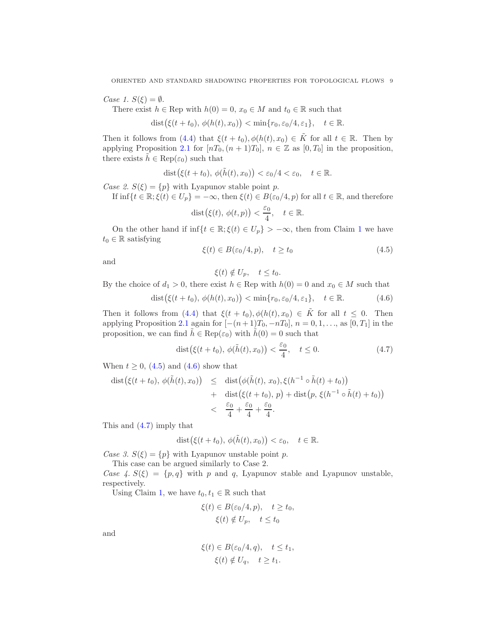*Case 1.*  $S(\xi) = \emptyset$ .

There exist  $h \in \text{Rep with } h(0) = 0, x_0 \in M \text{ and } t_0 \in \mathbb{R}$  such that

$$
dist(\xi(t+t_0), \phi(h(t), x_0)) < \min\{r_0, \varepsilon_0/4, \varepsilon_1\}, \quad t \in \mathbb{R}.
$$

Then it follows from (4.4) that  $\xi(t + t_0), \phi(h(t), x_0) \in \tilde{K}$  for all  $t \in \mathbb{R}$ . Then by applying Proposition 2.1 for  $[nT_0,(n+1)T_0], n \in \mathbb{Z}$  as  $[0,T_0]$  in the proposition, there exists  $h \in \text{Rep}(\varepsilon_0)$  such that

$$
\text{dist}(\xi(t+t_0), \, \phi(\tilde{h}(t), x_0)) < \varepsilon_0/4 < \varepsilon_0, \quad t \in \mathbb{R}.
$$

*Case 2.*  $S(\xi) = \{p\}$  with Lyapunov stable point p.

If  $\inf\{t \in \mathbb{R}; \xi(t) \in U_p\} = -\infty$ , then  $\xi(t) \in B(\varepsilon_0/4, p)$  for all  $t \in \mathbb{R}$ , and therefore

$$
\text{dist}(\xi(t), \, \phi(t, p)) < \frac{\varepsilon_0}{4}, \quad t \in \mathbb{R}.
$$

On the other hand if  $\inf\{t \in \mathbb{R}; \xi(t) \in U_p\} > -\infty$ , then from Claim 1 we have  $t_0 \in \mathbb{R}$  satisfying

$$
\xi(t) \in B(\varepsilon_0/4, p), \quad t \ge t_0 \tag{4.5}
$$

and

$$
\xi(t) \notin U_p, \quad t \le t_0.
$$

By the choice of  $d_1 > 0$ , there exist  $h \in \text{Rep with } h(0) = 0$  and  $x_0 \in M$  such that

$$
\text{dist}(\xi(t+t_0), \phi(h(t), x_0)) < \min\{r_0, \varepsilon_0/4, \varepsilon_1\}, \quad t \in \mathbb{R}.\tag{4.6}
$$

Then it follows from (4.4) that  $\xi(t + t_0), \phi(h(t), x_0) \in \tilde{K}$  for all  $t \leq 0$ . Then applying Proposition 2.1 again for  $[-(n+1)T_0, -nT_0]$ ,  $n = 0, 1, \ldots$ , as  $[0, T_1]$  in the proposition, we can find  $\tilde{h} \in \text{Rep}(\varepsilon_0)$  with  $\tilde{h}(0) = 0$  such that

$$
\text{dist}\big(\xi(t+t_0),\,\phi(\tilde{h}(t),x_0)\big)<\frac{\varepsilon_0}{4},\quad t\leq 0.\tag{4.7}
$$

When  $t \geq 0$ , (4.5) and (4.6) show that

$$
\begin{array}{rcl}\n\text{dist}(\xi(t+t_0), \, \phi(\tilde{h}(t), x_0)) & \leq & \text{dist}(\phi(\tilde{h}(t), x_0), \xi(h^{-1} \circ \tilde{h}(t) + t_0)) \\
& + & \text{dist}(\xi(t+t_0), \, p) + \text{dist}(p, \, \xi(h^{-1} \circ \tilde{h}(t) + t_0)) \\
& < & \frac{\varepsilon_0}{4} + \frac{\varepsilon_0}{4} + \frac{\varepsilon_0}{4}.\n\end{array}
$$

This and (4.7) imply that

$$
\text{dist}(\xi(t+t_0), \, \phi(\tilde{h}(t), x_0)) < \varepsilon_0, \quad t \in \mathbb{R}.
$$

*Case 3.*  $S(\xi) = \{p\}$  with Lyapunov unstable point p. This case can be argued similarly to Case 2.

*Case 4.*  $S(\xi) = \{p, q\}$  with p and q, Lyapunov stable and Lyapunov unstable, respectively.

Using Claim 1, we have  $t_0, t_1 \in \mathbb{R}$  such that

$$
\xi(t) \in B(\varepsilon_0/4, p), \quad t \ge t_0, \xi(t) \notin U_p, \quad t \le t_0
$$

and

$$
\xi(t) \in B(\varepsilon_0/4, q), \quad t \le t_1,
$$
  

$$
\xi(t) \notin U_q, \quad t \ge t_1.
$$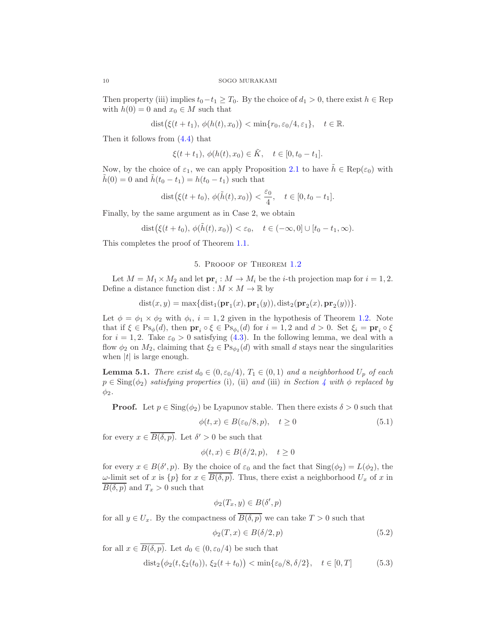Then property (iii) implies  $t_0-t_1 \geq T_0$ . By the choice of  $d_1 > 0$ , there exist  $h \in \text{Rep}$ with  $h(0) = 0$  and  $x_0 \in M$  such that

$$
dist(\xi(t+t_1), \phi(h(t), x_0)) < \min\{r_0, \varepsilon_0/4, \varepsilon_1\}, \quad t \in \mathbb{R}.
$$

Then it follows from (4.4) that

$$
\xi(t+t_1), \, \phi(h(t), x_0) \in \tilde{K}, \quad t \in [0, t_0 - t_1].
$$

Now, by the choice of  $\varepsilon_1$ , we can apply Proposition 2.1 to have  $\tilde{h} \in \text{Rep}(\varepsilon_0)$  with  $h(0) = 0$  and  $h(t_0 - t_1) = h(t_0 - t_1)$  such that

dist
$$
(\xi(t+t_0), \phi(\tilde{h}(t), x_0)) < \frac{\varepsilon_0}{4}, \quad t \in [0, t_0 - t_1].
$$

Finally, by the same argument as in Case 2, we obtain

$$
\text{dist}(\xi(t+t_0), \, \phi(\tilde{h}(t), x_0)) < \varepsilon_0, \quad t \in (-\infty, 0] \cup [t_0 - t_1, \infty).
$$

This completes the proof of Theorem 1.1.

## 5. Prooof of Theorem 1.2

Let  $M = M_1 \times M_2$  and let  $\mathbf{pr}_i : M \to M_i$  be the *i*-th projection map for  $i = 1, 2$ . Define a distance function dist :  $M \times M \to \mathbb{R}$  by

$$
dist(x, y) = \max\{dist_1(\mathbf{pr}_1(x), \mathbf{pr}_1(y)), dist_2(\mathbf{pr}_2(x), \mathbf{pr}_2(y))\}.
$$

Let  $\phi = \phi_1 \times \phi_2$  with  $\phi_i$ ,  $i = 1, 2$  given in the hypothesis of Theorem 1.2. Note that if  $\xi \in \mathrm{Ps}_{\phi}(d)$ , then  $\mathbf{pr}_i \circ \xi \in \mathrm{Ps}_{\phi_i}(d)$  for  $i = 1, 2$  and  $d > 0$ . Set  $\xi_i = \mathbf{pr}_i \circ \xi$ for  $i = 1, 2$ . Take  $\varepsilon_0 > 0$  satisfying (4.3). In the following lemma, we deal with a flow  $\phi_2$  on  $M_2$ , claiming that  $\xi_2 \in \mathrm{Ps}_{\phi_2}(d)$  with small d stays near the singularities when  $|t|$  is large enough.

**Lemma 5.1.** *There exist*  $d_0 \in (0, \epsilon_0/4)$ ,  $T_1 \in (0, 1)$  *and a neighborhood*  $U_p$  *of each*  $p \in Sing(\phi_2)$  *satisfying properties* (i), (ii) *and* (iii) *in Section* 4 *with*  $\phi$  *replaced by*  $\phi_2$ .

**Proof.** Let  $p \in \text{Sing}(\phi_2)$  be Lyapunov stable. Then there exists  $\delta > 0$  such that

$$
\phi(t, x) \in B(\varepsilon_0/8, p), \quad t \ge 0 \tag{5.1}
$$

for every  $x \in \overline{B(\delta, p)}$ . Let  $\delta' > 0$  be such that

$$
\phi(t, x) \in B(\delta/2, p), \quad t \ge 0
$$

for every  $x \in B(\delta', p)$ . By the choice of  $\varepsilon_0$  and the fact that  $\text{Sing}(\phi_2) = L(\phi_2)$ , the ω-limit set of x is  ${p}$  for  $x ∈ \overline{B(\delta, p)}$ . Thus, there exist a neighborhood  $U_x$  of x in  $\overline{B(\delta, p)}$  and  $T_x > 0$  such that

$$
\phi_2(T_x, y) \in B(\delta', p)
$$

for all  $y \in U_x$ . By the compactness of  $\overline{B(\delta, p)}$  we can take  $T > 0$  such that

$$
\phi_2(T, x) \in B(\delta/2, p) \tag{5.2}
$$

for all  $x \in \overline{B(\delta, p)}$ . Let  $d_0 \in (0, \varepsilon_0/4)$  be such that

$$
dist_2(\phi_2(t, \xi_2(t_0)), \xi_2(t+t_0)) < \min{\{\varepsilon_0/8, \delta/2\}}, \quad t \in [0, T]
$$
 (5.3)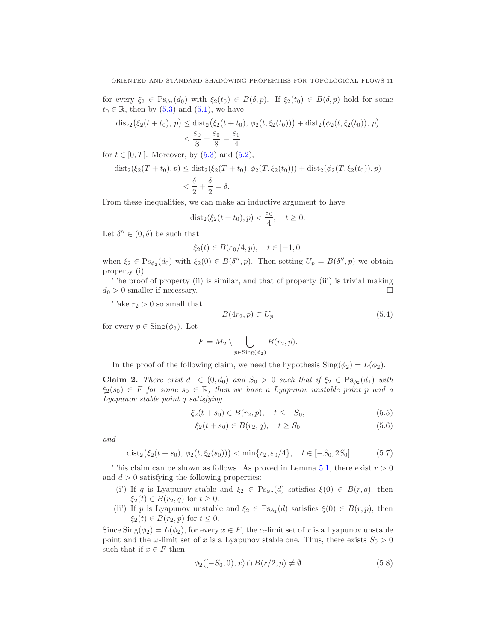for every  $\xi_2 \in \mathrm{Ps}_{\phi_2}(d_0)$  with  $\xi_2(t_0) \in B(\delta, p)$ . If  $\xi_2(t_0) \in B(\delta, p)$  hold for some  $t_0 \in \mathbb{R}$ , then by  $(5.3)$  and  $(5.1)$ , we have

$$
\begin{aligned} \text{dist}_2(\xi_2(t+t_0), \, p) &\leq \text{dist}_2(\xi_2(t+t_0), \, \phi_2(t, \xi_2(t_0))) + \text{dist}_2(\phi_2(t, \xi_2(t_0)), \, p) \\ &< \frac{\varepsilon_0}{8} + \frac{\varepsilon_0}{8} = \frac{\varepsilon_0}{4} \end{aligned}
$$

for  $t \in [0, T]$ . Moreover, by  $(5.3)$  and  $(5.2)$ ,

$$
\begin{aligned} \text{dist}_2(\xi_2(T+t_0), p) &\leq \text{dist}_2(\xi_2(T+t_0), \phi_2(T, \xi_2(t_0))) + \text{dist}_2(\phi_2(T, \xi_2(t_0)), p) \\ &< \frac{\delta}{2} + \frac{\delta}{2} = \delta. \end{aligned}
$$

From these inequalities, we can make an inductive argument to have

$$
dist_2(\xi_2(t+t_0), p) < \frac{\varepsilon_0}{4}, \quad t \ge 0.
$$

Let  $\delta'' \in (0, \delta)$  be such that

$$
\xi_2(t) \in B(\varepsilon_0/4, p), \quad t \in [-1, 0]
$$

when  $\xi_2 \in \text{Ps}_{\phi_2}(d_0)$  with  $\xi_2(0) \in B(\delta'', p)$ . Then setting  $U_p = B(\delta'', p)$  we obtain property (i).

The proof of property (ii) is similar, and that of property (iii) is trivial making  $d_0 > 0$  smaller if necessary.

Take  $r_2 > 0$  so small that

$$
B(4r_2, p) \subset U_p \tag{5.4}
$$

for every  $p \in \text{Sing}(\phi_2)$ . Let

$$
F = M_2 \setminus \bigcup_{p \in \text{Sing}(\phi_2)} B(r_2, p).
$$

In the proof of the following claim, we need the hypothesis  $\text{Sing}(\phi_2) = L(\phi_2)$ .

**Claim 2.** *There exist*  $d_1 \in (0, d_0)$  *and*  $S_0 > 0$  *such that* if  $\xi_2 \in \text{Ps}_{\phi_2}(d_1)$  *with*  $\xi_2(s_0) \in F$  *for some*  $s_0 \in \mathbb{R}$ *, then we have a Lyapunov unstable point* p and a *Lyapunov stable point* q *satisfying*

$$
\xi_2(t+s_0) \in B(r_2, p), \quad t \le -S_0,\tag{5.5}
$$

$$
\xi_2(t+s_0) \in B(r_2, q), \quad t \ge S_0 \tag{5.6}
$$

*and*

$$
dist_2(\xi_2(t+s_0), \phi_2(t, \xi_2(s_0))) < \min\{r_2, \varepsilon_0/4\}, \quad t \in [-S_0, 2S_0].
$$
 (5.7)

This claim can be shown as follows. As proved in Lemma 5.1, there exist  $r > 0$ and  $d > 0$  satisfying the following properties:

- (i') If q is Lyapunov stable and  $\xi_2 \in \text{Ps}_{\phi_2}(d)$  satisfies  $\xi(0) \in B(r, q)$ , then  $\xi_2(t) \in B(r_2, q)$  for  $t \geq 0$ .
- (ii) If p is Lyapunov unstable and  $\xi_2 \in \text{Ps}_{\phi_2}(d)$  satisfies  $\xi(0) \in B(r, p)$ , then  $\xi_2(t) \in B(r_2, p)$  for  $t \leq 0$ .

Since  $\text{Sing}(\phi_2) = L(\phi_2)$ , for every  $x \in F$ , the  $\alpha$ -limit set of x is a Lyapunov unstable point and the  $\omega$ -limit set of x is a Lyapunov stable one. Thus, there exists  $S_0 > 0$ such that if  $x \in F$  then

$$
\phi_2([-S_0, 0), x) \cap B(r/2, p) \neq \emptyset \tag{5.8}
$$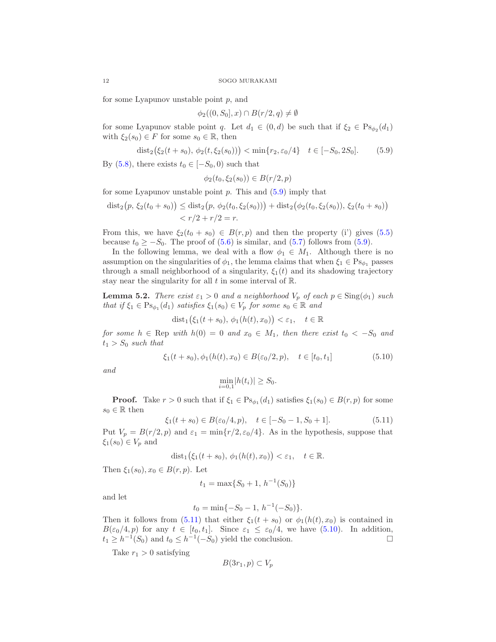for some Lyapunov unstable point  $p$ , and

$$
\phi_2((0, S_0], x) \cap B(r/2, q) \neq \emptyset
$$

for some Lyapunov stable point q. Let  $d_1 \in (0,d)$  be such that if  $\xi_2 \in \text{Ps}_{\phi_2}(d_1)$ with  $\xi_2(s_0) \in F$  for some  $s_0 \in \mathbb{R}$ , then

$$
\text{dist}_2\big(\xi_2(t+s_0), \phi_2(t,\xi_2(s_0))\big) < \min\{r_2, \varepsilon_0/4\} \quad t \in [-S_0, 2S_0].\tag{5.9}
$$

By (5.8), there exists  $t_0 \in [-S_0, 0)$  such that

$$
\phi_2(t_0, \xi_2(s_0)) \in B(r/2, p)
$$

for some Lyapunov unstable point  $p$ . This and  $(5.9)$  imply that

$$
dist_2(p, \xi_2(t_0+s_0)) \leq dist_2(p, \phi_2(t_0, \xi_2(s_0))) + dist_2(\phi_2(t_0, \xi_2(s_0)), \xi_2(t_0+s_0))
$$
  

$$
< r/2 + r/2 = r.
$$

From this, we have  $\xi_2(t_0 + s_0) \in B(r, p)$  and then the property (i') gives (5.5) because  $t_0 \geq -S_0$ . The proof of (5.6) is similar, and (5.7) follows from (5.9).

In the following lemma, we deal with a flow  $\phi_1 \in M_1$ . Although there is no assumption on the singularities of  $\phi_1$ , the lemma claims that when  $\xi_1 \in \mathrm{Ps}_{\phi_1}$  passes through a small neighborhood of a singularity,  $\xi_1(t)$  and its shadowing trajectory stay near the singularity for all  $t$  in some interval of  $\mathbb{R}$ .

**Lemma 5.2.** *There exist*  $\varepsilon_1 > 0$  *and a neighborhood*  $V_p$  *of each*  $p \in \text{Sing}(\phi_1)$  *such that if*  $\xi_1 \in \mathrm{Ps}_{\phi_1}(d_1)$  *satisfies*  $\xi_1(s_0) \in V_p$  *for some*  $s_0 \in \mathbb{R}$  *and* 

$$
dist_1(\xi_1(t+s_0), \phi_1(h(t), x_0)) < \varepsilon_1, \quad t \in \mathbb{R}
$$

*for some*  $h \in \text{Rep with } h(0) = 0$  *and*  $x_0 \in M_1$ *, then there exist*  $t_0 < -S_0$  *and*  $t_1 > S_0$  *such that* 

$$
\xi_1(t+s_0), \phi_1(h(t), x_0) \in B(\varepsilon_0/2, p), \quad t \in [t_0, t_1]
$$
\n(5.10)

*and*

$$
\min_{i=0,1} |h(t_i)| \ge S_0.
$$

**Proof.** Take  $r > 0$  such that if  $\xi_1 \in \text{Ps}_{\phi_1}(d_1)$  satisfies  $\xi_1(s_0) \in B(r, p)$  for some  $s_0 \in \mathbb{R}$  then

$$
\xi_1(t+s_0) \in B(\varepsilon_0/4, p), \quad t \in [-S_0 - 1, S_0 + 1]. \tag{5.11}
$$

Put  $V_p = B(r/2, p)$  and  $\varepsilon_1 = \min\{r/2, \varepsilon_0/4\}$ . As in the hypothesis, suppose that  $\xi_1(s_0) \in V_p$  and

$$
dist_1(\xi_1(t+s_0), \phi_1(h(t), x_0)) < \varepsilon_1, \quad t \in \mathbb{R}.
$$

Then  $\xi_1(s_0), x_0 \in B(r, p)$ . Let

$$
t_1 = \max\{S_0 + 1, \, h^{-1}(S_0)\}
$$

and let

$$
t_0 = \min\{-S_0 - 1, h^{-1}(-S_0)\}.
$$

Then it follows from (5.11) that either  $\xi_1(t + s_0)$  or  $\phi_1(h(t), x_0)$  is contained in  $B(\varepsilon_0/4, p)$  for any  $t \in [t_0, t_1]$ . Since  $\varepsilon_1 \leq \varepsilon_0/4$ , we have  $(5.10)$ . In addition,  $t_1 \geq h^{-1}(S_0)$  and  $t_0 \leq h^{-1}(-S_0)$  yield the conclusion.

Take  $r_1 > 0$  satisfying

$$
B(3r_1, p) \subset V_p
$$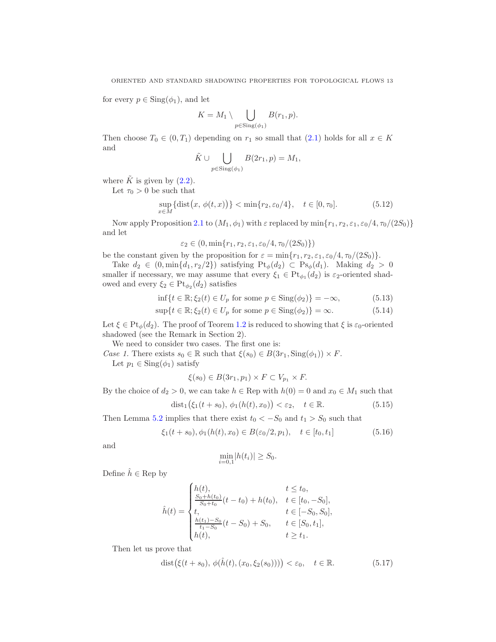for every  $p \in Sing(\phi_1)$ , and let

$$
K = M_1 \setminus \bigcup_{p \in \text{Sing}(\phi_1)} B(r_1, p).
$$

Then choose  $T_0 \in (0, T_1)$  depending on  $r_1$  so small that  $(2.1)$  holds for all  $x \in K$ and

$$
\tilde{K} \cup \bigcup_{p \in \text{Sing}(\phi_1)} B(2r_1, p) = M_1,
$$

where  $\tilde{K}$  is given by (2.2).

Let  $\tau_0 > 0$  be such that

$$
\sup_{x \in M} \{ \text{dist}(x, \phi(t, x)) \} < \min \{ r_2, \varepsilon_0/4 \}, \quad t \in [0, \tau_0]. \tag{5.12}
$$

Now apply Proposition 2.1 to  $(M_1, \phi_1)$  with  $\varepsilon$  replaced by  $\min\{r_1, r_2, \varepsilon_1, \varepsilon_0/4, \tau_0/(2S_0)\}\$ and let

$$
\varepsilon_2 \in (0, \min\{r_1, r_2, \varepsilon_1, \varepsilon_0/4, \tau_0/(2S_0)\})
$$

be the constant given by the proposition for  $\varepsilon = \min\{r_1, r_2, \varepsilon_1, \varepsilon_0/4, \tau_0/(2S_0)\}.$ 

Take  $d_2 \in (0, \min\{d_1, r_2/2\})$  satisfying  $Pt_{\phi}(d_2) \subset Ps_{\phi}(d_1)$ . Making  $d_2 > 0$ smaller if necessary, we may assume that every  $\xi_1 \in Pt_{\phi_1}(d_2)$  is  $\varepsilon_2$ -oriented shadowed and every  $\xi_2 \in \text{Pt}_{\phi_2}(d_2)$  satisfies

$$
\inf\{t \in \mathbb{R}; \xi_2(t) \in U_p \text{ for some } p \in \text{Sing}(\phi_2)\} = -\infty,
$$
\n(5.13)

$$
\sup\{t \in \mathbb{R}; \xi_2(t) \in U_p \text{ for some } p \in \text{Sing}(\phi_2)\} = \infty. \tag{5.14}
$$

Let  $\xi \in \text{Pt}_{\phi}(d_2)$ . The proof of Teorem 1.2 is reduced to showing that  $\xi$  is  $\varepsilon_0$ -oriented shadowed (see the Remark in Section 2).

We need to consider two cases. The first one is:

*Case 1.* There exists  $s_0 \in \mathbb{R}$  such that  $\xi(s_0) \in B(3r_1, \text{Sing}(\phi_1)) \times F$ . Let  $p_1 \in \text{Sing}(\phi_1)$  satisfy

$$
\xi(s_0) \in B(3r_1, p_1) \times F \subset V_{p_1} \times F.
$$

By the choice of  $d_2 > 0$ , we can take  $h \in \text{Rep with } h(0) = 0$  and  $x_0 \in M_1$  such that

$$
dist_1(\xi_1(t+s_0), \phi_1(h(t), x_0)) < \varepsilon_2, \quad t \in \mathbb{R}.
$$
 (5.15)

Then Lemma 5.2 implies that there exist  $t_0 < -S_0$  and  $t_1 > S_0$  such that

$$
\xi_1(t+s_0), \phi_1(h(t), x_0) \in B(\varepsilon_0/2, p_1), \quad t \in [t_0, t_1]
$$
\n
$$
(5.16)
$$

and

$$
\min_{i=0,1} |h(t_i)| \ge S_0.
$$

Define  $\hat{h} \in \text{Rep}$  by

$$
\hat{h}(t) = \begin{cases}\n h(t), & t \leq t_0, \\
 \frac{S_0 + h(t_0)}{S_0 + t_0}(t - t_0) + h(t_0), & t \in [t_0, -S_0], \\
 t, & t \in [-S_0, S_0], \\
 \frac{h(t_1) - S_0}{t_1 - S_0}(t - S_0) + S_0, & t \in [S_0, t_1], \\
 h(t), & t \geq t_1.\n\end{cases}
$$

Then let us prove that

$$
\text{dist}\big(\xi(t+s_0),\,\phi(\hat{h}(t),(x_0,\xi_2(s_0)))\big)<\varepsilon_0,\quad t\in\mathbb{R}.\tag{5.17}
$$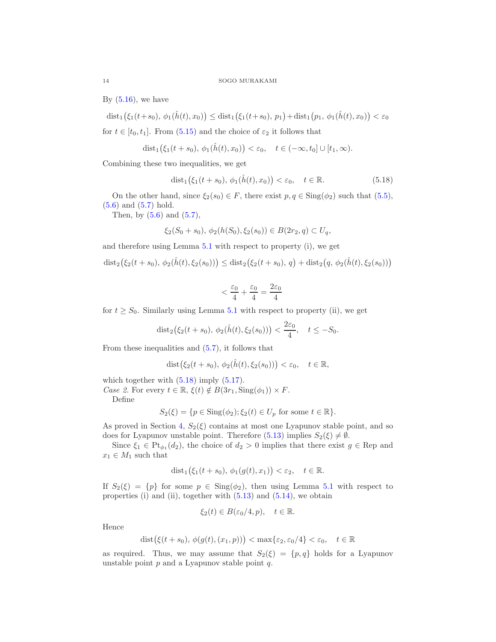By  $(5.16)$ , we have

 $\text{dist}_1(\xi_1(t+s_0), \phi_1(\hat{h}(t), x_0)) \leq \text{dist}_1(\xi_1(t+s_0), p_1) + \text{dist}_1(p_1, \phi_1(\hat{h}(t), x_0)) < \varepsilon_0$ 

for  $t \in [t_0, t_1]$ . From (5.15) and the choice of  $\varepsilon_2$  it follows that

$$
\mathrm{dist}_1(\xi_1(t+s_0), \phi_1(\hat{h}(t), x_0)) < \varepsilon_0, \quad t \in (-\infty, t_0] \cup [t_1, \infty).
$$

Combining these two inequalities, we get

$$
dist_1(\xi_1(t+s_0), \phi_1(\hat{h}(t), x_0)) < \varepsilon_0, \quad t \in \mathbb{R}.
$$
\n
$$
(5.18)
$$

On the other hand, since  $\xi_2(s_0) \in F$ , there exist  $p, q \in Sing(\phi_2)$  such that  $(5.5)$ , (5.6) and (5.7) hold.

Then, by  $(5.6)$  and  $(5.7)$ ,

$$
\xi_2(S_0+s_0), \phi_2(h(S_0), \xi_2(s_0)) \in B(2r_2, q) \subset U_q,
$$

and therefore using Lemma 5.1 with respect to property (i), we get

$$
\text{dist}_2(\xi_2(t+s_0), \phi_2(\hat{h}(t), \xi_2(s_0))) \leq \text{dist}_2(\xi_2(t+s_0), q) + \text{dist}_2(q, \phi_2(\hat{h}(t), \xi_2(s_0)))
$$

$$
< \frac{\varepsilon_0}{4} + \frac{\varepsilon_0}{4} = \frac{2\varepsilon_0}{4}
$$

for  $t \geq S_0$ . Similarly using Lemma 5.1 with respect to property (ii), we get

$$
dist_2(\xi_2(t+s_0), \phi_2(\hat{h}(t), \xi_2(s_0))) < \frac{2\varepsilon_0}{4}, \quad t \le -S_0.
$$

From these inequalities and (5.7), it follows that

$$
dist(\xi_2(t+s_0), \phi_2(\hat{h}(t), \xi_2(s_0))) < \varepsilon_0, \quad t \in \mathbb{R},
$$

which together with  $(5.18)$  imply  $(5.17)$ .

*Case 2.* For every  $t \in \mathbb{R}$ ,  $\xi(t) \notin B(3r_1, \text{Sing}(\phi_1)) \times F$ .

Define

$$
S_2(\xi) = \{ p \in \text{Sing}(\phi_2); \xi_2(t) \in U_p \text{ for some } t \in \mathbb{R} \}.
$$

As proved in Section 4,  $S_2(\xi)$  contains at most one Lyapunov stable point, and so does for Lyapunov unstable point. Therefore (5.13) implies  $S_2(\xi) \neq \emptyset$ .

Since  $\xi_1 \in \text{Pt}_{\phi_1}(d_2)$ , the choice of  $d_2 > 0$  implies that there exist  $g \in \text{Rep and}$  $x_1 \in M_1$  such that

$$
dist_1(\xi_1(t+s_0), \phi_1(g(t), x_1)) < \varepsilon_2, \quad t \in \mathbb{R}.
$$

If  $S_2(\xi) = \{p\}$  for some  $p \in \text{Sing}(\phi_2)$ , then using Lemma 5.1 with respect to properties (i) and (ii), together with  $(5.13)$  and  $(5.14)$ , we obtain

$$
\xi_2(t) \in B(\varepsilon_0/4, p), \quad t \in \mathbb{R}.
$$

Hence

$$
\text{dist}(\xi(t+s_0), \phi(g(t), (x_1, p))) < \max\{\varepsilon_2, \varepsilon_0/4\} < \varepsilon_0, \quad t \in \mathbb{R}
$$

as required. Thus, we may assume that  $S_2(\xi) = \{p, q\}$  holds for a Lyapunov unstable point  $p$  and a Lyapunov stable point  $q$ .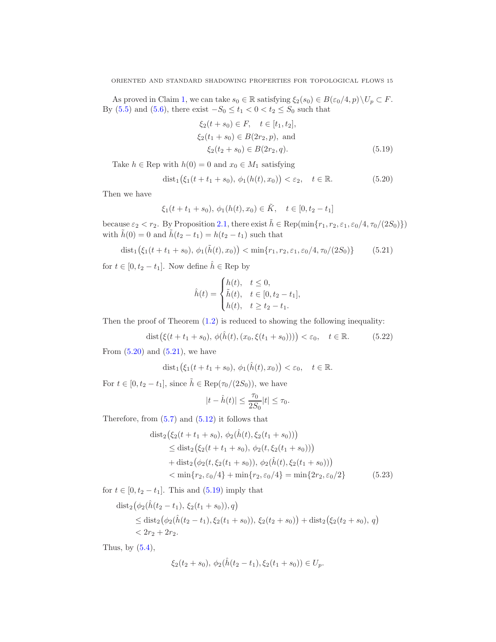As proved in Claim 1, we can take  $s_0 \in \mathbb{R}$  satisfying  $\xi_2(s_0) \in B(\varepsilon_0/4, p) \setminus U_p \subset F$ . By (5.5) and (5.6), there exist  $-S_0 \le t_1 < 0 < t_2 \le S_0$  such that

$$
\xi_2(t+s_0) \in F, \quad t \in [t_1, t_2],
$$
  
\n
$$
\xi_2(t_1+s_0) \in B(2r_2, p), \text{ and}
$$
  
\n
$$
\xi_2(t_2+s_0) \in B(2r_2, q).
$$
\n(5.19)

Take  $h \in \text{Rep with } h(0) = 0$  and  $x_0 \in M_1$  satisfying

$$
dist_1(\xi_1(t+t_1+s_0), \phi_1(h(t), x_0)) < \varepsilon_2, \quad t \in \mathbb{R}.
$$
 (5.20)

Then we have

$$
\xi_1(t+t_1+s_0), \phi_1(h(t),x_0) \in \tilde{K}, \quad t \in [0,t_2-t_1]
$$

because  $\varepsilon_2 < r_2$ . By Proposition 2.1, there exist  $\tilde{h} \in \text{Rep}(\min\{r_1, r_2, \varepsilon_1, \varepsilon_0/4, \tau_0/(2S_0)\})$ with  $\tilde{h}(0) = 0$  and  $\tilde{h}(t_2 - t_1) = h(t_2 - t_1)$  such that

$$
\text{dist}_1(\xi_1(t+t_1+s_0), \phi_1(\tilde{h}(t), x_0)) < \min\{r_1, r_2, \varepsilon_1, \varepsilon_0/4, \tau_0/(2S_0)\} \tag{5.21}
$$

for  $t \in [0, t_2 - t_1]$ . Now define  $\hat{h} \in \text{Rep by }$ 

$$
\hat{h}(t) = \begin{cases}\nh(t), & t \le 0, \\
\tilde{h}(t), & t \in [0, t_2 - t_1], \\
h(t), & t \ge t_2 - t_1.\n\end{cases}
$$

Then the proof of Theorem  $(1.2)$  is reduced to showing the following inequality:

$$
dist(\xi(t+t_1+s_0), \, \phi(\hat{h}(t), (x_0, \xi(t_1+s_0)))) < \varepsilon_0, \quad t \in \mathbb{R}.
$$
 (5.22)

From  $(5.20)$  and  $(5.21)$ , we have

$$
dist_1(\xi_1(t+t_1+s_0), \phi_1(\hat{h}(t),x_0)) < \varepsilon_0, \quad t \in \mathbb{R}.
$$

For  $t \in [0, t_2 - t_1]$ , since  $\tilde{h} \in \text{Rep}(\tau_0/(2S_0))$ , we have

$$
|t - \hat{h}(t)| \le \frac{\tau_0}{2S_0}|t| \le \tau_0.
$$

Therefore, from  $(5.7)$  and  $(5.12)$  it follows that

$$
\begin{aligned}\n\text{dist}_2\big(\xi_2(t+t_1+s_0), \, \phi_2(\hat{h}(t), \xi_2(t_1+s_0))\big) \\
&\leq \text{dist}_2\big(\xi_2(t+t_1+s_0), \, \phi_2(t, \xi_2(t_1+s_0))\big) \\
&\quad + \text{dist}_2\big(\phi_2(t, \xi_2(t_1+s_0)), \, \phi_2(\hat{h}(t), \xi_2(t_1+s_0))\big) \\
&< \min\{r_2, \varepsilon_0/4\} + \min\{r_2, \varepsilon_0/4\} = \min\{2r_2, \varepsilon_0/2\} \tag{5.23}\n\end{aligned}
$$

for  $t \in [0, t_2 - t_1]$ . This and  $(5.19)$  imply that

$$
\begin{aligned} \text{dist}_2\big(\phi_2(\hat{h}(t_2 - t_1), \xi_2(t_1 + s_0)), q\big) \\ &\leq \text{dist}_2\big(\phi_2(\hat{h}(t_2 - t_1), \xi_2(t_1 + s_0)), \xi_2(t_2 + s_0)\big) + \text{dist}_2\big(\xi_2(t_2 + s_0), q\big) \\ &< 2r_2 + 2r_2. \end{aligned}
$$

Thus, by  $(5.4)$ ,

$$
\xi_2(t_2+s_0), \, \phi_2(\hat{h}(t_2-t_1), \xi_2(t_1+s_0)) \in U_p.
$$